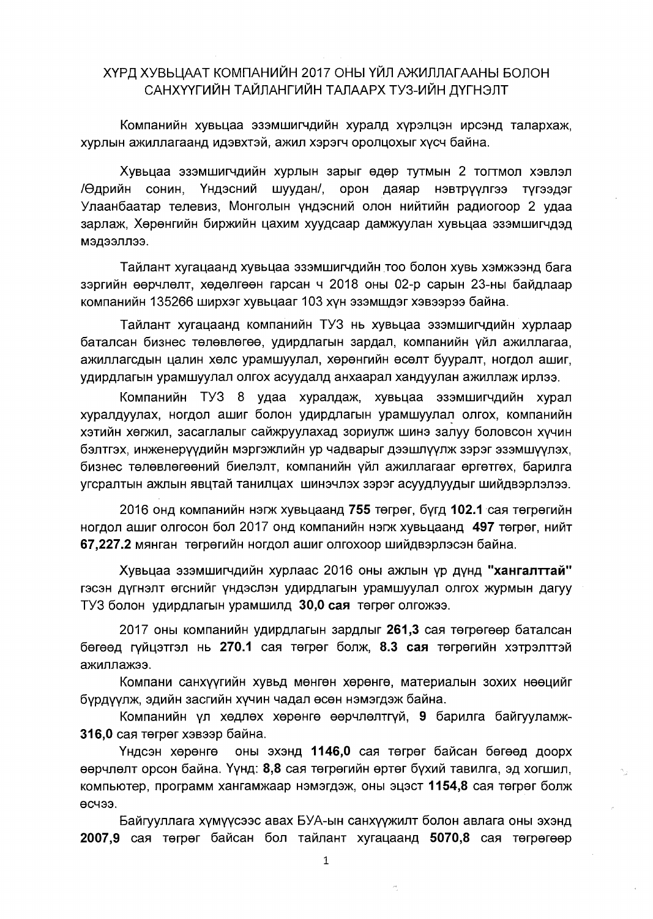## ХҮРД ХУВЬЦААТ КОМПАНИЙН 2017 ОНЫ ҮЙЛ АЖИЛЛАГААНЫ БОЛОН САНХҮҮГИЙН ТАЙЛАНГИЙН ТАЛААРХ ТУЗ-ИЙН ДҮГНЭЛТ

Компанийн хувьцаа эзэмшигчдийн хуралд хүрэлцэн ирсэнд талархаж, хурлын ажиллагаанд идэвхтэй, ажил хэрэгч оролцохыг хүсч байна.

Хувьцаа эзэмшигчдийн хурлын зарыг өдөр тутмын 2 тогтмол хэвлэл /Өдрийн сонин, Үндэсний шуудан/, орон даяар нэвтрүүлгээ түгээдэг Улаанбаатар телевиз, Монголын үндэсний олон нийтийн радиогоор 2 удаа зарлаж, Хөрөнгийн биржийн цахим хуудсаар дамжуулан хувьцаа эзэмшигчдэд кеппеедем

Тайлант хугацаанд хувьцаа эзэмшигчдийн тоо болон хувь хэмжээнд бага зэргийн өөрчлөлт, хөдөлгөөн гарсан ч 2018 оны 02-р сарын 23-ны байдлаар компанийн 135266 ширхэг хувьцааг 103 хүн эзэмшдэг хэвээрээ байна.

Тайлант хугацаанд компанийн ТУЗ нь хувьцаа эзэмшигчдийн хурлаар баталсан бизнес төлөвлөгөө, удирдлагын зардал, компанийн үйл ажиллагаа, ажиллагсдын цалин хөлс урамшуулал, хөрөнгийн өсөлт бууралт, ногдол ашиг, удирдлагын урамшуулал олгох асуудалд анхаарал хандуулан ажиллаж ирлээ.

Компанийн ТУЗ 8 удаа хуралдаж, хувьцаа эзэмшигчдийн хурал хуралдуулах, ногдол ашиг болон удирдлагын урамшуулал олгох, компанийн хэтийн хөгжил, засаглалыг сайжруулахад зориулж шинэ залуу боловсон хүчин бэлтгэх, инженерүүдийн мэргэжлийн ур чадварыг дээшлүүлж зэрэг эзэмшүүлэх, бизнес төлөвлөгөөний биелэлт, компанийн үйл ажиллагааг өргөтгөх, барилга угсралтын ажлын явцтай танилцах шинэчлэх зэрэг асуудлуудыг шийдвэрлэлээ.

2016 онд компанийн нэгж хувьцаанд 755 төгрөг, бүгд 102.1 сая төгрөгийн ногдол ашиг олгосон бол 2017 онд компанийн нэгж хувьцаанд 497 төгрөг, нийт 67,227.2 мянган төгрөгийн ногдол ашиг олгохоор шийдвэрлэсэн байна.

Хувьцаа эзэмшигчдийн хурлаас 2016 оны ажлын үр дүнд "хангалттай" гэсэн дүгнэлт өгснийг үндэслэн удирдлагын урамшуулал олгох журмын дагуу ТУЗ болон удирдлагын урамшилд 30,0 сая төгрөг олгожээ.

2017 оны компанийн удирдлагын зардлыг 261,3 сая төгрөгөөр баталсан бөгөөд гүйцэтгэл нь 270.1 сая төгрөг болж, 8.3 сая төгрөгийн хэтрэлттэй ажиллажээ.

Компани санхүүгийн хувьд мөнгөн хөрөнгө, материалын зохих нөөцийг бурдуулж, эдийн засгийн хүчин чадал өсөн нэмэгдэж байна.

Компанийн үл хөдлөх хөрөнгө өөрчлөлтгүй, 9 барилга байгууламж-316,0 сая төгрөг хэвээр байна.

Үндсэн хөрөнгө оны эхэнд 1146,0 сая төгрөг байсан бөгөөд доорх өөрчлөлт орсон байна. Үүнд: 8,8 сая төгрөгийн өртөг бүхий тавилга, эд хогшил, компьютер, программ хангамжаар нэмэгдэж, оны эцэст 1154,8 сая төгрөг болж өсчээ.

Байгууллага хүмүүсээс авах БУА-ын санхүүжилт болон авлага оны эхэнд 2007,9 сая төгрөг байсан бол тайлант хугацаанд 5070,8 сая төгрөгөөр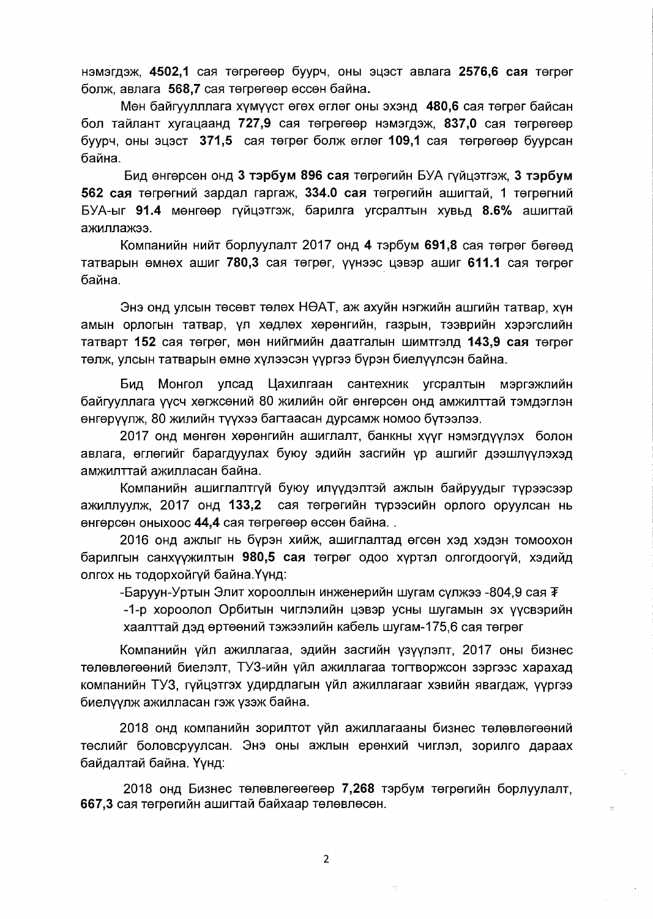нэмэгдэж, 4502,1 сая төгрөгөөр буурч, оны эцэст авлага 2576,6 сая төгрөг болж, авлага 568,7 сая төгрөгөөр өссөн байна.

Мөн байгуулллага хүмүүст өгөх өглөг оны эхэнд 480,6 сая төгрөг байсан бол тайлант хугацаанд 727,9 сая төгрөгөөр нэмэгдэж, 837,0 сая төгрөгөөр буурч, оны эцэст 371,5 сая төгрөг болж өглөг 109,1 сая төгрөгөөр буурсан байна.

Бид өнгөрсөн онд 3 тэрбум 896 сая төгрөгийн БУА гүйцэтгэж, 3 тэрбум 562 сая төгрөгний зардал гаргаж, 334.0 сая төгрөгийн ашигтай, 1 төгрөгний БУА-ыг 91.4 мөнгөөр гүйцэтгэж, барилга үгсралтын хүвьд 8.6% ашигтай ажиллажээ.

Компанийн нийт борлуулалт 2017 онд 4 тэрбум 691,8 сая төгрөг бөгөөд татварын өмнөх ашиг 780,3 сая төгрөг, үүнээс цэвэр ашиг 611.1 сая төгрөг байна.

Энэ онд улсын төсөвт төлөх НӨАТ, аж ахуйн нэгжийн ашгийн татвар, хүн амын орлогын татвар, үл хөдлөх хөрөнгийн, газрын, тээврийн хэрэгслийн татварт 152 сая төгрөг, мөн нийгмийн даатгалын шимтгэлд 143,9 сая төгрөг төлж, улсын татварын өмнө хүлээсэн үүргээ бүрэн биелүүлсэн байна.

Бид Монгол улсад Цахилгаан сантехник угсралтын мэргэжлийн байгууллага үүсч хөгжсөний 80 жилийн ойг өнгөрсөн онд амжилттай тэмдэглэн өнгөрүүлж, 80 жилийн түүхээ багтаасан дурсамж номоо бүтээлээ.

2017 онд мөнгөн хөрөнгийн ашиглалт, банкны хүүг нэмэгдүүлэх болон авлага, өглөгийг барагдуулах буюу эдийн засгийн үр ашгийг дээшлүүлэхэд амжилттай ажилласан байна.

Компанийн ашиглалтгүй буюу илүүдэлтэй ажлын байруудыг түрээсээр ажиллуулж, 2017 онд 133,2 сая төгрөгийн түрээсийн орлого оруулсан нь өнгөрсөн оныхоос 44,4 сая төгрөгөөр өссөн байна..

2016 онд ажлыг нь бүрэн хийж, ашиглалтад өгсөн хэд хэдэн томоохон барилгын санхүүжилтын 980,5 сая төгрөг одоо хүртэл олгогдоогүй, хэдийд олгох нь тодорхойгүй байна. Үүнд:

-Баруун-Уртын Элит хорооллын инженерийн шугам сулжээ -804.9 сая  $\bar{\mathbf{F}}$ 

-1-р хороолол Орбитын чиглэлийн цэвэр усны шугамын эх үүсвэрийн хаалттай дэд өртөөний тэжээлийн кабель шугам-175,6 сая төгрөг

Компанийн үйл ажиллагаа, эдийн засгийн үзүүлэлт, 2017 оны бизнес төлөвлөгөөний биелэлт, ТУЗ-ийн үйл ажиллагаа тогтворжсон зэргээс харахад компанийн ТУЗ, гүйцэтгэх удирдлагын үйл ажиллагааг хэвийн явагдаж, үүргээ биелүүлж ажилласан гэж үзэж байна.

2018 онд компанийн зорилтот үйл ажиллагааны бизнес төлөвлөгөөний төслийг боловсруулсан. Энэ оны ажлын ерөнхий чиглэл, зорилго дараах байдалтай байна. Үүнд:

2018 онд Бизнес төлөвлөгөөгөөр 7,268 тэрбум төгрөгийн борлуулалт, 667,3 сая төгрөгийн ашигтай байхаар төлөвлөсөн.

 $\overline{2}$